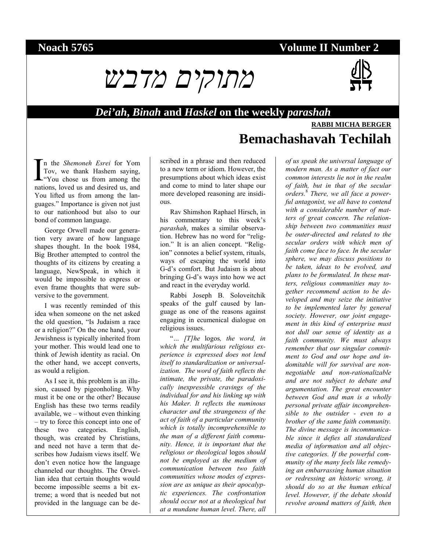## **Noach 5765 Volume II Number 2**





**RABBI MICHA BERGER**

#### *Dei'ah***,** *Binah* **and** *Haskel* **on the weekly** *parashah*

n the *Shemoneh Esrei* for Yom Tov, we thank Hashem saying, In the *Shemoneh Esrei* for Yom<br>Tov, we thank Hashem saying,<br>"You chose us from among the nations, loved us and desired us, and You lifted us from among the languages." Importance is given not just to our nationhood but also to our bond of common language.

George Orwell made our generation very aware of how language shapes thought. In the book 1984, Big Brother attempted to control the thoughts of its citizens by creating a language, NewSpeak, in which it would be impossible to express or even frame thoughts that were subversive to the government.

I was recently reminded of this idea when someone on the net asked the old question, "Is Judaism a race or a religion?" On the one hand, your Jewishness is typically inherited from your mother. This would lead one to think of Jewish identity as racial. On the other hand, we accept converts, as would a religion.

As I see it, this problem is an illusion, caused by pigeonholing. Why must it be one or the other? Because English has these two terms readily available, we – without even thinking – try to force this concept into one of these two categories. English, though, was created by Christians, and need not have a term that describes how Judaism views itself. We don't even notice how the language channeled our thoughts. The Orwellian idea that certain thoughts would become impossible seems a bit extreme; a word that is needed but not provided in the language can be de-

scribed in a phrase and then reduced to a new term or idiom. However, the presumptions about which ideas exist and come to mind to later shape our more developed reasoning are insidious.

Rav Shimshon Raphael Hirsch, in his commentary to this week's *parashah*, makes a similar observation. Hebrew has no word for "religion." It is an alien concept. "Religion" connotes a belief system, rituals, ways of escaping the world into G-d's comfort. But Judaism is about bringing G-d's ways into how we act and react in the everyday world.

Rabbi Joseph B. Soloveitchik speaks of the gulf caused by language as one of the reasons against engaging in ecumenical dialogue on religious issues.

"*… [T]he* logos*, the word, in which the multifarious religious experience is expressed does not lend itself to standardization or universalization. The word of faith reflects the intimate, the private, the paradoxically inexpressible cravings of the individual for and his linking up with his Maker. It reflects the numinous character and the strangeness of the act of faith of a particular community which is totally incomprehensible to the man of a different faith community. Hence, it is important that the religious or theological* logos *should not be employed as the medium of communication between two faith communities whose modes of expression are as unique as their apocalyptic experiences. The confrontation should occur not at a theological but at a mundane human level. There, all* 

*of us speak the universal language of modern man. As a matter of fact our common interests lie not in the realm of faith, but in that of the secular orders.*<sup>8</sup>  *There, we all face a powerful antagonist, we all have to contend with a considerable number of matters of great concern. The relationship between two communities must be outer-directed and related to the secular orders with which men of faith come face to face. In the secular sphere, we may discuss positions to be taken, ideas to be evolved, and plans to be formulated. In these matters, religious communities may together recommend action to be developed and may seize the initiative to be implemented later by general society. However, our joint engagement in this kind of enterprise must not dull our sense of identity as a faith community. We must always remember that our singular commitment to God and our hope and indomitable will for survival are nonnegotiable and non-rationalizable and are not subject to debate and argumentation. The great encounter between God and man is a wholly personal private affair incomprehensible to the outsider - even to a brother of the same faith community. The divine message is incommunicable since it defies all standardized media of information and all objective categories. If the powerful community of the many feels like remedying an embarrassing human situation or redressing an historic wrong, it should do so at the human ethical level. However, if the debate should* 

*revolve around matters of faith, then* 

# **Bemachashavah Techilah**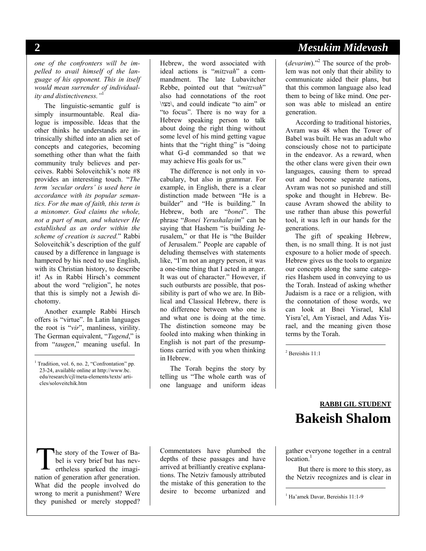*one of the confronters will be impelled to avail himself of the language of his opponent. This in itself would mean surrender of individuality and distinctiveness."*<sup>1</sup>

The linguistic-semantic gulf is simply insurmountable. Real dialogue is impossible. Ideas that the other thinks he understands are intrinsically shifted into an alien set of concepts and categories, becoming something other than what the faith community truly believes and perceives. Rabbi Soloveitchik's note #8 provides an interesting touch. "*The term 'secular orders' is used here in accordance with its popular semantics. For the man of faith, this term is a misnomer. God claims the whole, not a part of man, and whatever He established as an order within the scheme of creation is sacred.*" Rabbi Soloveitchik's description of the gulf caused by a difference in language is hampered by his need to use English, with its Christian history, to describe it! As in Rabbi Hirsch's comment about the word "religion", he notes that this is simply not a Jewish dichotomy.

Another example Rabbi Hirsch offers is "virtue". In Latin languages the root is "*vir*", manliness, virility. The German equivalent, "*Tugend*," is from "*taugen*," meaning useful. In

l

Hebrew, the word associated with ideal actions is "*mitzvah*" a commandment. The late Lubavitcher Rebbe, pointed out that "*mitzvah*" also had connotations of the root \מצו\, and could indicate "to aim" or "to focus". There is no way for a Hebrew speaking person to talk about doing the right thing without some level of his mind getting vague hints that the "right thing" is "doing" what G-d commanded so that we may achieve His goals for us."

The difference is not only in vocabulary, but also in grammar. For example, in English, there is a clear distinction made between "He is a builder" and "He is building." In Hebrew, both are "*bonei*". The phrase "*Bonei Yerushalayim*" can be saying that Hashem "is building Jerusalem," or that He is "the Builder of Jerusalem." People are capable of deluding themselves with statements like, "I'm not an angry person, it was a one-time thing that I acted in anger. It was out of character." However, if such outbursts are possible, that possibility is part of who we are. In Biblical and Classical Hebrew, there is no difference between who one is and what one is doing at the time. The distinction someone may be fooled into making when thinking in English is not part of the presumptions carried with you when thinking in Hebrew.

The Torah begins the story by telling us "The whole earth was of one language and uniform ideas

### **2** *Mesukim Midevash*

(*devarim*)."2 The source of the problem was not only that their ability to communicate aided their plans, but that this common language also lead them to being of like mind. One person was able to mislead an entire generation.

According to traditional histories, Avram was 48 when the Tower of Babel was built. He was an adult who consciously chose not to participate in the endeavor. As a reward, when the other clans were given their own languages, causing them to spread out and become separate nations, Avram was not so punished and still spoke and thought in Hebrew. Because Avram showed the ability to use rather than abuse this powerful tool, it was left in our hands for the generations.

The gift of speaking Hebrew, then, is no small thing. It is not just exposure to a holier mode of speech. Hebrew gives us the tools to organize our concepts along the same categories Hashem used in conveying to us the Torah. Instead of asking whether Judaism is a race or a religion, with the connotation of those words, we can look at Bnei Yisrael, Klal Yisra'el, Am Yisrael, and Adas Yisrael, and the meaning given those terms by the Torah.

2 Bereishis 11:1

 $\overline{\phantom{a}}$ 

 $\overline{\phantom{a}}$ 

### **RABBI GIL STUDENT Bakeish Shalom**

he story of the Tower of Babel is very brief but has nevertheless sparked the imagination of generation after generation. What did the people involved do wrong to merit a punishment? Were they punished or merely stopped? T

Commentators have plumbed the depths of these passages and have arrived at brilliantly creative explanations. The Netziv famously attributed the mistake of this generation to the desire to become urbanized and

gather everyone together in a central  $localion.<sup>1</sup>$ 

But there is more to this story, as the Netziv recognizes and is clear in

<sup>&</sup>lt;sup>1</sup> Tradition, vol. 6, no. 2, "Confrontation" pp. 23-24, available online at http://www.bc. edu/research/cjl/meta-elements/texts/ articles/soloveitchik.htm

<sup>1</sup> Ha'amek Davar, Bereishis 11:1-9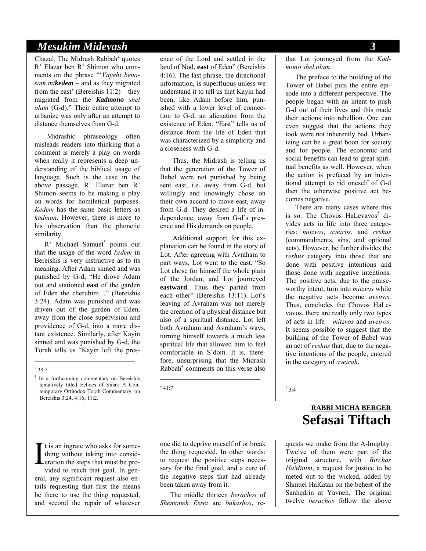### *Mesukim Midevash* **3**

Chazal. The Midrash Rabbah $^2$  quotes R' Elazar ben R' Shimon who comments on the phrase "'*Vayehi benasam mikedem* – and as they migrated from the east' (Bereishis  $11:2$ ) – they migrated from the *Kadmono shel olam* (G-d)." Their entire attempt to urbanize was only after an attempt to distance themselves from G-d.

Midrashic phraseology often misleads readers into thinking that a comment is merely a play on words when really it represents a deep understanding of the biblical usage of language. Such is the case in the above passage. R' Elazar ben R' Shimon seems to be making a play on words for homiletical purposes. *Kedem* has the same basic letters as *kadmon*. However, there is more to his observation than the phonetic similarity.

R' Michael Samuel<sup>3</sup> points out that the usage of the word *kedem* in Bereishis is very instructive as to its meaning. After Adam sinned and was punished by G-d, "He drove Adam out and stationed **east** of the garden of Eden the cherubim…" (Bereishis 3:24). Adam was punished and was driven out of the garden of Eden, away from the close supervision and providence of G-d, into a more distant existence. Similarly, after Kayin sinned and was punished by G-d, the Torah tells us "Kayin left the pres-

#### $238:7$

l

<sup>3</sup> In a forthcoming commentary on Bereishis tentatively titled Echoes of Sinai: A Contemporary Orthodox Torah Commentary, on Bereishis 3:24, 4:16, 11:2.

It is an ingrate who asks for some-<br>thing without taking into consid-<br>eration the steps that must be pro-<br>ideal to reach that see In son thing without taking into consideration the steps that must be provided to reach that goal. In general, any significant request also entails requesting that first the means be there to use the thing requested, and second the repair of whatever ence of the Lord and settled in the land of Nod, **east** of Eden" (Bereishis 4:16). The last phrase, the directional information, is superfluous unless we understand it to tell us that Kayin had been, like Adam before him, punished with a lower level of connection to G-d, an alienation from the existence of Eden. "East" tells us of distance from the life of Eden that was characterized by a simplicity and a closeness with G-d.

Thus, the Midrash is telling us that the generation of the Tower of Babel were not punished by being sent east, i.e. away from G-d, but willingly and knowingly chose on their own accord to move east, away from G-d. They desired a life of independence, away from G-d's presence and His demands on people.

Additional support for this explanation can be found in the story of Lot. After agreeing with Avraham to part ways, Lot went to the east. "So Lot chose for himself the whole plain of the Jordan, and Lot journeyed **eastward**. Thus they parted from each other" (Bereishis 13:11). Lot's leaving of Avraham was not merely the creation of a physical distance but also of a spiritual distance. Lot left both Avraham and Avraham's ways, turning himself towards a much less spiritual life that allowed him to feel comfortable in S'dom. It is, therefore, unsurprising that the Midrash Rabbah<sup>4</sup> comments on this verse also

 $441:7$ 

-

one did to deprive oneself of or break the thing requested. In other words: to request the positive steps necessary for the final goal, and a cure of the negative steps that had already been taken away from it.

The middle thirteen *berachos* of *Shemoneh Esrei* are *bakashos*, rethat Lot journeyed from the *Kadmono shel olam*.

The preface to the building of the Tower of Babel puts the entire episode into a different perspective. The people began with an intent to push G-d out of their lives and this made their actions into rebellion. One can even suggest that the actions they took were not inherently bad. Urbanizing can be a great boon for society and for people. The economic and social benefits can lead to great spiritual benefits as well. However, when the action is prefaced by an intentional attempt to rid oneself of G-d then the otherwise positive act becomes negative.

There are many cases where this is so. The Chovos HaLevavos<sup>5</sup> divides acts in life into three categories: *mitzvos*, *aveiros*, and *reshus* (commandments, sins, and optional acts). However, he further divides the *reshus* category into those that are done with positive intentions and those done with negative intentions. The positive acts, due to the praiseworthy intent, turn into *mitzvos* while the negative acts become *aveiros*. Thus, concludes the Chovos HaLevavos, there are really only two types of acts in life – *mitzvos* and *aveiros*. It seems possible to suggest that the building of the Tower of Babel was an act of *reshus* that, due to the negative intentions of the people, entered in the category of *aveirah*.

 $5^{5}$  3:4

 $\overline{\phantom{a}}$ 

### **RABBI MICHA BERGER Sefasai Tiftach**

quests we make from the A-lmighty. Twelve of them were part of the original structure, with *Birchas HaMinim*, a request for justice to be meted out to the wicked, added by Shmuel HaKatan on the behest of the Sanhedrin at Yavneh. The original twelve *berachos* follow the above